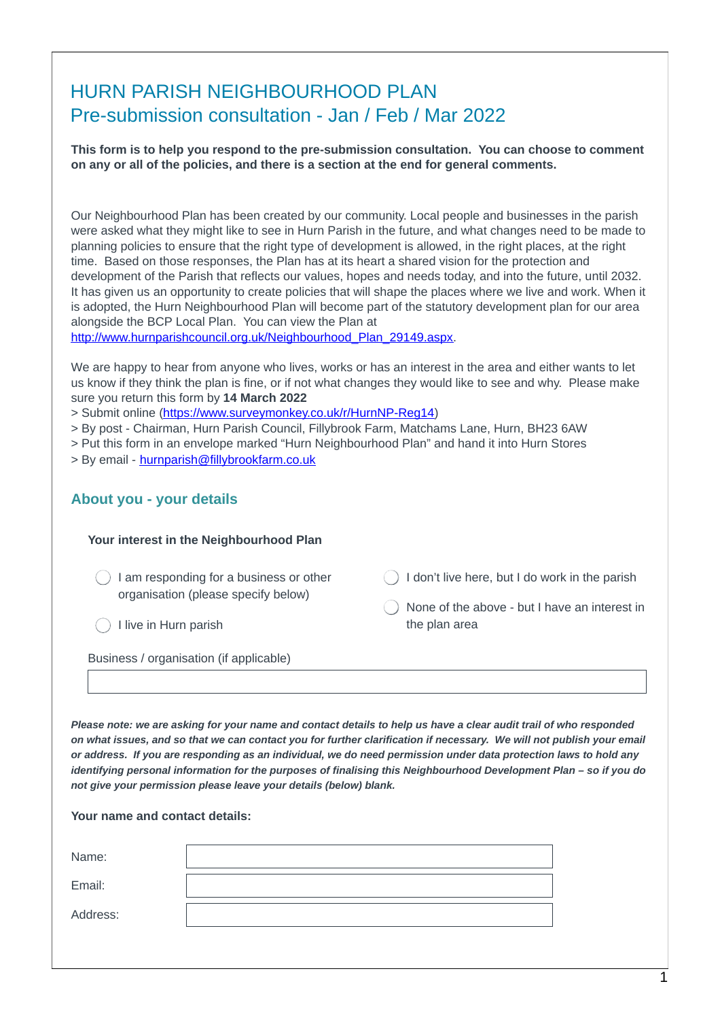# HURN PARISH NEIGHBOURHOOD PLAN Pre-submission consultation - Jan / Feb / Mar 2022

**This form is to help you respond to the pre-submission consultation. You can choose to comment on any or all of the policies, and there is a section at the end for general comments.**

Our Neighbourhood Plan has been created by our community. Local people and businesses in the parish were asked what they might like to see in Hurn Parish in the future, and what changes need to be made to planning policies to ensure that the right type of development is allowed, in the right places, at the right time. Based on those responses, the Plan has at its heart a shared vision for the protection and development of the Parish that reflects our values, hopes and needs today, and into the future, until 2032. It has given us an opportunity to create policies that will shape the places where we live and work. When it is adopted, the Hurn Neighbourhood Plan will become part of the statutory development plan for our area alongside the BCP Local Plan. You can view the Plan at

[http://www.hurnparishcouncil.org.uk/Neighbourhood\\_Plan\\_29149.aspx](http://www.hurnparishcouncil.org.uk/Neighbourhood_Plan_29149.aspx).

We are happy to hear from anyone who lives, works or has an interest in the area and either wants to let us know if they think the plan is fine, or if not what changes they would like to see and why. Please make sure you return this form by **14 March 2022**

- > Submit online [\(https://www.surveymonkey.co.uk/r/HurnNP-Reg14](https://www.surveymonkey.co.uk/r/HurnNP-Reg14))
- > By post Chairman, Hurn Parish Council, Fillybrook Farm, Matchams Lane, Hurn, BH23 6AW
- > Put this form in an envelope marked "Hurn Neighbourhood Plan" and hand it into Hurn Stores > By email - [hurnparish@fillybrookfarm.co.uk](mailto:hurnparish@fillybrookfarm.co.uk)
- 

#### **About you - your details**

| Your interest in the Neighbourhood Plan                                                                 |                                                                                                                  |
|---------------------------------------------------------------------------------------------------------|------------------------------------------------------------------------------------------------------------------|
| I am responding for a business or other<br>organisation (please specify below)<br>I live in Hurn parish | I don't live here, but I do work in the parish<br>None of the above - but I have an interest in<br>the plan area |
| Business / organisation (if applicable)                                                                 |                                                                                                                  |

Please note: we are asking for your name and contact details to help us have a clear audit trail of who responded on what issues, and so that we can contact you for further clarification if necessary. We will not publish your email or address. If you are responding as an individual, we do need permission under data protection laws to hold any identifying personal information for the purposes of finalising this Neighbourhood Development Plan - so if you do *not give your permission please leave your details (below) blank.*

Name: Email: **Your name and contact details:**

Address: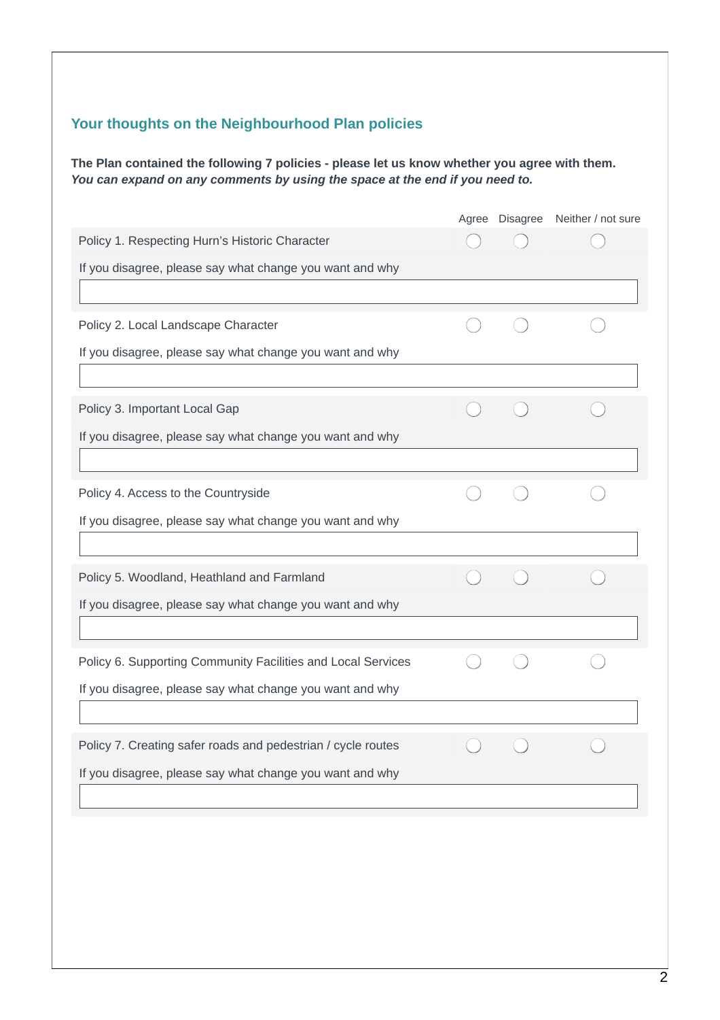### **Your thoughts on the Neighbourhood Plan policies**

**The Plan contained the following 7 policies - please let us know whether you agree with them.** *You can expand on any comments by using the space at the end if you need to.*

|                                                              |  | Agree Disagree Neither / not sure |
|--------------------------------------------------------------|--|-----------------------------------|
| Policy 1. Respecting Hurn's Historic Character               |  |                                   |
| If you disagree, please say what change you want and why     |  |                                   |
|                                                              |  |                                   |
| Policy 2. Local Landscape Character                          |  |                                   |
| If you disagree, please say what change you want and why     |  |                                   |
|                                                              |  |                                   |
| Policy 3. Important Local Gap                                |  |                                   |
| If you disagree, please say what change you want and why     |  |                                   |
|                                                              |  |                                   |
| Policy 4. Access to the Countryside                          |  |                                   |
| If you disagree, please say what change you want and why     |  |                                   |
|                                                              |  |                                   |
| Policy 5. Woodland, Heathland and Farmland                   |  |                                   |
| If you disagree, please say what change you want and why     |  |                                   |
|                                                              |  |                                   |
| Policy 6. Supporting Community Facilities and Local Services |  |                                   |
| If you disagree, please say what change you want and why     |  |                                   |
|                                                              |  |                                   |
| Policy 7. Creating safer roads and pedestrian / cycle routes |  |                                   |
| If you disagree, please say what change you want and why     |  |                                   |
|                                                              |  |                                   |
|                                                              |  |                                   |
|                                                              |  |                                   |
|                                                              |  |                                   |
|                                                              |  |                                   |